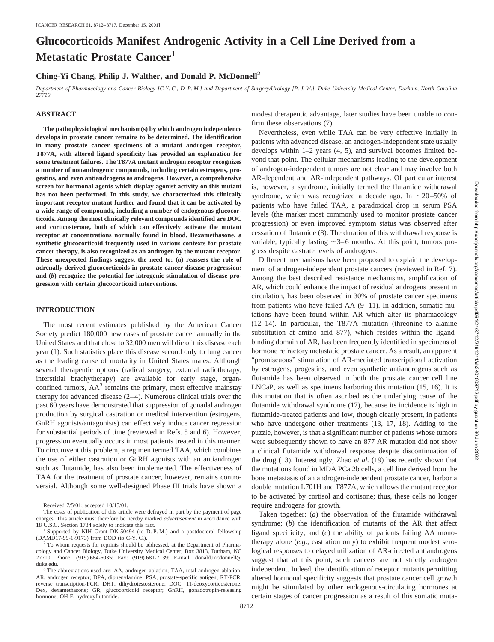# **Glucocorticoids Manifest Androgenic Activity in a Cell Line Derived from a Metastatic Prostate Cancer<sup>1</sup>**

# **Ching-Yi Chang, Philip J. Walther, and Donald P. McDonnell2**

*Department of Pharmacology and Cancer Biology [C-Y. C., D. P. M.] and Department of Surgery/Urology [P. J. W.], Duke University Medical Center, Durham, North Carolina 27710*

firm these observations (7).

gress despite castrate levels of androgens.

### **ABSTRACT**

**The pathophysiological mechanism(s) by which androgen independence develops in prostate cancer remains to be determined. The identification in many prostate cancer specimens of a mutant androgen receptor, T877A, with altered ligand specificity has provided an explanation for some treatment failures. The T877A mutant androgen receptor recognizes a number of nonandrogenic compounds, including certain estrogens, progestins, and even antiandrogens as androgens. However, a comprehensive screen for hormonal agents which display agonist activity on this mutant has not been performed. In this study, we characterized this clinically important receptor mutant further and found that it can be activated by a wide range of compounds, including a number of endogenous glucocorticoids. Among the most clinically relevant compounds identified are DOC and corticosterone, both of which can effectively activate the mutant receptor at concentrations normally found in blood. Dexamethasone, a synthetic glucocorticoid frequently used in various contexts for prostate cancer therapy, is also recognized as an androgen by the mutant receptor. These unexpected findings suggest the need to: (***a***) reassess the role of adrenally derived glucocorticoids in prostate cancer disease progression; and (***b***) recognize the potential for iatrogenic stimulation of disease progression with certain glucocorticoid interventions.**

#### **INTRODUCTION**

The most recent estimates published by the American Cancer Society predict 180,000 new cases of prostate cancer annually in the United States and that close to 32,000 men will die of this disease each year (1). Such statistics place this disease second only to lung cancer as the leading cause of mortality in United States males. Although several therapeutic options (radical surgery, external radiotherapy, interstitial brachytherapy) are available for early stage, organconfined tumors,  $AA<sup>3</sup>$  remains the primary, most effective mainstay therapy for advanced disease (2–4). Numerous clinical trials over the past 60 years have demonstrated that suppression of gonadal androgen production by surgical castration or medical intervention (estrogens, GnRH agonists/antagonists) can effectively induce cancer regression for substantial periods of time (reviewed in Refs. 5 and 6). However, progression eventually occurs in most patients treated in this manner. To circumvent this problem, a regimen termed TAA, which combines the use of either castration or GnRH agonists with an antiandrogen such as flutamide, has also been implemented. The effectiveness of TAA for the treatment of prostate cancer, however, remains controversial. Although some well-designed Phase III trials have shown a

hormone refractory metastatic prostate cancer. As a result, an apparent "promiscuous" stimulation of AR-mediated transcriptional activation by estrogens, progestins, and even synthetic antiandrogens such as flutamide has been observed in both the prostate cancer cell line LNCaP, as well as specimens harboring this mutation (15, 16). It is this mutation that is often ascribed as the underlying cause of the flutamide withdrawal syndrome (17), because its incidence is high in flutamide-treated patients and low, though clearly present, in patients who have undergone other treatments (13, 17, 18). Adding to the puzzle, however, is that a significant number of patients whose tumors were subsequently shown to have an 877 AR mutation did not show a clinical flutamide withdrawal response despite discontinuation of the drug (13). Interestingly, Zhao *et al.* (19) has recently shown that the mutations found in MDA PCa 2b cells, a cell line derived from the bone metastasis of an androgen-independent prostate cancer, harbor a double mutation L701H and T877A, which allows the mutant receptor to be activated by cortisol and cortisone; thus, these cells no longer require androgens for growth.

modest therapeutic advantage, later studies have been unable to con-

Nevertheless, even while TAA can be very effective initially in patients with advanced disease, an androgen-independent state usually develops within 1–2 years (4, 5), and survival becomes limited beyond that point. The cellular mechanisms leading to the development of androgen-independent tumors are not clear and may involve both AR-dependent and AR-independent pathways. Of particular interest is, however, a syndrome, initially termed the flutamide withdrawal syndrome, which was recognized a decade ago. In  $\sim$ 20–50% of patients who have failed TAA, a paradoxical drop in serum PSA levels (the marker most commonly used to monitor prostate cancer progression) or even improved symptom status was observed after cessation of flutamide (8). The duration of this withdrawal response is variable, typically lasting  $\sim$ 3–6 months. At this point, tumors pro-

Different mechanisms have been proposed to explain the development of androgen-independent prostate cancers (reviewed in Ref. 7). Among the best described resistance mechanisms, amplification of AR, which could enhance the impact of residual androgens present in circulation, has been observed in 30% of prostate cancer specimens from patients who have failed AA (9–11). In addition, somatic mutations have been found within AR which alter its pharmacology (12–14). In particular, the T877A mutation (threonine to alanine substitution at amino acid 877), which resides within the ligandbinding domain of AR, has been frequently identified in specimens of

Taken together: (*a*) the observation of the flutamide withdrawal syndrome; (*b*) the identification of mutants of the AR that affect ligand specificity; and (*c*) the ability of patients failing AA monotherapy alone (*e.g.,* castration only) to exhibit frequent modest serological responses to delayed utilization of AR-directed antiandrogens suggest that at this point, such cancers are not strictly androgen independent. Indeed, the identification of receptor mutants permitting altered hormonal specificity suggests that prostate cancer cell growth might be stimulated by other endogenous-circulating hormones at certain stages of cancer progression as a result of this somatic muta-

Received 7/5/01; accepted 10/15/01.

The costs of publication of this article were defrayed in part by the payment of page charges. This article must therefore be hereby marked *advertisement* in accordance with 18 U.S.C. Section 1734 solely to indicate this fact. <sup>1</sup> Supported by NIH Grant DK-50494 (to D. P. M.) and a postdoctoral fellowship

<sup>(</sup>DAMD17-99-1-9173) from DOD (to C-Y. C.). <sup>2</sup> To whom requests for reprints should be addressed, at the Department of Pharma-

cology and Cancer Biology, Duke University Medical Center, Box 3813, Durham, NC 27710. Phone: (919) 684-6035; Fax: (919) 681-7139; E-mail: donald.mcdonnell@

duke.edu.<br><sup>3</sup> The abbreviations used are: AA, androgen ablation; TAA, total androgen ablation; AR, androgen receptor; DPA, diphenylamine; PSA, prostate-specific antigen; RT-PCR, reverse transcription-PCR; DHT, dihydrotestosterone; DOC, 11-deoxycorticosterone; Dex, dexamethasone; GR, glucocorticoid receptor; GnRH, gonadotropin-releasing hormone; OH-F, hydroxyflutamide.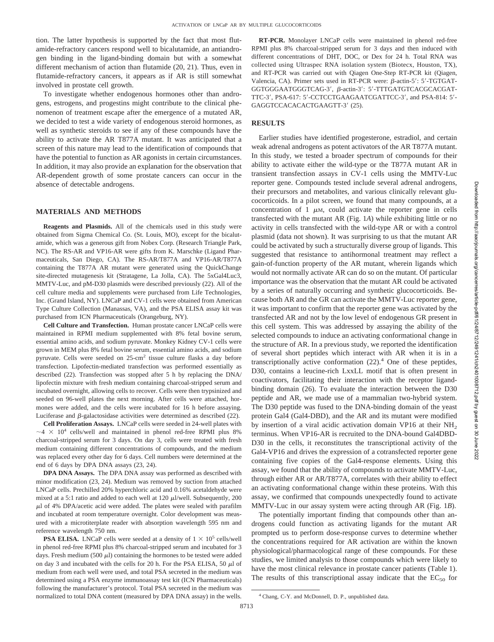tion. The latter hypothesis is supported by the fact that most flutamide-refractory cancers respond well to bicalutamide, an antiandrogen binding in the ligand-binding domain but with a somewhat different mechanism of action than flutamide (20, 21). Thus, even in flutamide-refractory cancers, it appears as if AR is still somewhat involved in prostate cell growth.

To investigate whether endogenous hormones other than androgens, estrogens, and progestins might contribute to the clinical phenomenon of treatment escape after the emergence of a mutated AR, we decided to test a wide variety of endogenous steroid hormones, as well as synthetic steroids to see if any of these compounds have the ability to activate the AR T877A mutant. It was anticipated that a screen of this nature may lead to the identification of compounds that have the potential to function as AR agonists in certain circumstances. In addition, it may also provide an explanation for the observation that AR-dependent growth of some prostate cancers can occur in the absence of detectable androgens.

#### **MATERIALS AND METHODS**

**Reagents and Plasmids.** All of the chemicals used in this study were obtained from Sigma Chemical Co. (St. Louis, MO), except for the bicalutamide, which was a generous gift from Nobex Corp. (Research Triangle Park, NC). The RS-AR and VP16-AR were gifts from K. Marschke (Ligand Pharmaceuticals, San Diego, CA). The RS-AR/T877A and VP16-AR/T877A containing the T877A AR mutant were generated using the QuickChange site-directed mutagenesis kit (Stratagene, La Jolla, CA). The 5xGal4Luc3, MMTV-Luc, and pM-D30 plasmids were described previously (22). All of the cell culture media and supplements were purchased from Life Technologies, Inc. (Grand Island, NY). LNCaP and CV-1 cells were obtained from American Type Culture Collection (Manassas, VA), and the PSA ELISA assay kit was purchased from ICN Pharmaceuticals (Orangeburg, NY).

**Cell Culture and Transfection.** Human prostate cancer LNCaP cells were maintained in RPMI medium supplemented with 8% fetal bovine serum, essential amino acids, and sodium pyruvate. Monkey Kidney CV-1 cells were grown in MEM plus 8% fetal bovine serum, essential amino acids, and sodium pyruvate. Cells were seeded on 25-cm2 tissue culture flasks a day before transfection. Lipofectin-mediated transfection was performed essentially as described (22). Transfection was stopped after 5 h by replacing the DNA/ lipofectin mixture with fresh medium containing charcoal-stripped serum and incubated overnight, allowing cells to recover. Cells were then trypsinized and seeded on 96-well plates the next morning. After cells were attached, hormones were added, and the cells were incubated for 16 h before assaying. Luciferase and  $\beta$ -galactosidase activities were determined as described (22).

**Cell Proliferation Assays.** LNCaP cells were seeded in 24-well plates with  $\sim$  4  $\times$  10<sup>4</sup> cells/well and maintained in phenol red-free RPMI plus 8% charcoal-stripped serum for 3 days. On day 3, cells were treated with fresh medium containing different concentrations of compounds, and the medium was replaced every other day for 6 days. Cell numbers were determined at the end of 6 days by DPA DNA assays (23, 24).

**DPA DNA Assays.** The DPA DNA assay was performed as described with minor modification (23, 24). Medium was removed by suction from attached LNCaP cells. Prechilled 20% hyperchloric acid and 0.16% acetaldehyde were mixed at a 5:1 ratio and added to each well at  $120 \mu$ l/well. Subsequently, 200  $\mu$ l of 4% DPA/acetic acid were added. The plates were sealed with parafilm and incubated at room temperature overnight. Color development was measured with a microtiterplate reader with absorption wavelength 595 nm and reference wavelength 750 nm.

**PSA ELISA.** LNCaP cells were seeded at a density of  $1 \times 10^5$  cells/well in phenol red-free RPMI plus 8% charcoal-stripped serum and incubated for 3 days. Fresh medium (500  $\mu$ l) containing the hormones to be tested were added on day 3 and incubated with the cells for 20 h. For the PSA ELISA, 50  $\mu$ l of medium from each well were used, and total PSA secreted in the medium was determined using a PSA enzyme immunoassay test kit (ICN Pharmaceuticals) following the manufacturer's protocol. Total PSA secreted in the medium was normalized to total DNA content (measured by DPA DNA assay) in the wells.

**RT-PCR.** Monolayer LNCaP cells were maintained in phenol red-free RPMI plus 8% charcoal-stripped serum for 3 days and then induced with different concentrations of DHT, DOC, or Dex for 24 h. Total RNA was collected using Ultraspec RNA isolation system (Biotecx, Houston, TX), and RT-PCR was carried out with Qiagen One-Step RT-PCR kit (Qiagen, Valencia, CA). Primer sets used in RT-PCR were:  $\beta$ -actin-5': 5'-TGTGAT-GGTGGGAATGGGTCAG-3',  $\beta$ -actin-3': 5'-TTTGATGTCACGCACGAT-TTC-3', PSA-617: 5'-CCTCCTGAAGAATCGATTCC-3', and PSA-814: 5'-GAGGTCCACACACTGAAGTT-3' (25).

# **RESULTS**

Earlier studies have identified progesterone, estradiol, and certain weak adrenal androgens as potent activators of the AR T877A mutant. In this study, we tested a broader spectrum of compounds for their ability to activate either the wild-type or the T877A mutant AR in transient transfection assays in CV-1 cells using the MMTV-Luc reporter gene. Compounds tested include several adrenal androgens, their precursors and metabolites, and various clinically relevant glucocorticoids. In a pilot screen, we found that many compounds, at a concentration of 1  $\mu$ M, could activate the reporter gene in cells transfected with the mutant AR (Fig. 1*A*) while exhibiting little or no activity in cells transfected with the wild-type AR or with a control plasmid (data not shown). It was surprising to us that the mutant AR could be activated by such a structurally diverse group of ligands. This suggested that resistance to antihormonal treatment may reflect a gain-of-function property of the AR mutant, wherein ligands which would not normally activate AR can do so on the mutant. Of particular importance was the observation that the mutant AR could be activated by a series of naturally occurring and synthetic glucocorticoids. Because both AR and the GR can activate the MMTV-Luc reporter gene, it was important to confirm that the reporter gene was activated by the transfected AR and not by the low level of endogenous GR present in this cell system. This was addressed by assaying the ability of the selected compounds to induce an activating conformational change in the structure of AR. In a previous study, we reported the identification of several short peptides which interact with AR when it is in a transcriptionally active conformation  $(22)$ .<sup>4</sup> One of these peptides, D30, contains a leucine-rich LxxLL motif that is often present in coactivators, facilitating their interaction with the receptor ligandbinding domain (26). To evaluate the interaction between the D30 peptide and AR, we made use of a mammalian two-hybrid system. The D30 peptide was fused to the DNA-binding domain of the yeast protein Gal4 (Gal4-DBD), and the AR and its mutant were modified by insertion of a viral acidic activation domain VP16 at their  $NH<sub>2</sub>$ terminus. When VP16-AR is recruited to the DNA-bound Gal4DBD-D30 in the cells, it reconstitutes the transcriptional activity of the Gal4-VP16 and drives the expression of a cotransfected reporter gene containing five copies of the Gal4-response elements. Using this assay, we found that the ability of compounds to activate MMTV-Luc, through either AR or AR/T877A, correlates with their ability to effect an activating conformational change within these proteins. With this assay, we confirmed that compounds unexpectedly found to activate MMTV-Luc in our assay system were acting through AR (Fig. 1*B*).

The potentially important finding that compounds other than androgens could function as activating ligands for the mutant AR prompted us to perform dose-response curves to determine whether the concentrations required for AR activation are within the known physiological/pharmacological range of these compounds. For these studies, we limited analysis to those compounds which were likely to have the most clinical relevance in prostate cancer patients (Table 1). The results of this transcriptional assay indicate that the  $EC_{50}$  for

<sup>4</sup> Chang, C-Y. and McDonnell, D. P., unpublished data.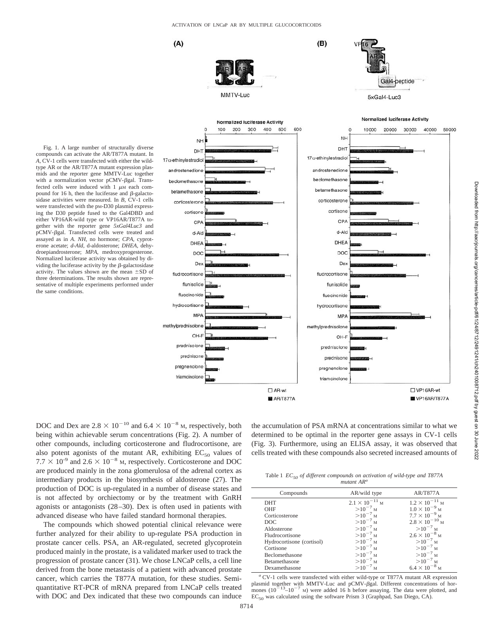$(A)$ 

prednisone

pregnenolone

triamcinolone



 $\Box$  AR-wt

AR/T877A

 $(B)$ 

Fig. 1. A large number of structurally diverse compounds can activate the AR/T877A mutant. In *A,* CV-1 cells were transfected with either the wildtype AR or the AR/T877A mutant expression plasmids and the reporter gene MMTV-Luc together with a normalization vector pCMV- $\beta$ gal. Transfected cells were induced with  $1 \mu$ M each compound for 16 h, then the luciferase and  $\beta$ -galactosidase activities were measured. In *B,* CV-1 cells were transfected with the pM-D30 plasmid expressing the D30 peptide fused to the Gal4DBD and either VP16AR-wild type or VP16AR/T877A together with the reporter gene *5xGal4Luc3* and pCMV-gal. Transfected cells were treated and assayed as in *A*. *NH,* no hormone; *CPA,* cyproterone acetate; *d-Ald,* d-aldosterone; *DHEA,* dehydroepiandrosterone; *MPA,* medroxyprogesterone. Normalized luciferase activity was obtained by dividing the luciferase activity by the  $\beta$ -galactosidase activity. The values shown are the mean  $\pm$ SD of three determinations. The results shown are representative of multiple experiments performed under the same conditions.

DOC and Dex are  $2.8 \times 10^{-10}$  and  $6.4 \times 10^{-8}$  M, respectively, both being within achievable serum concentrations (Fig. 2). A number of other compounds, including corticosterone and fludrocortisone, are also potent agonists of the mutant AR, exhibiting  $EC_{50}$  values of  $7.7 \times 10^{-9}$  and  $2.6 \times 10^{-8}$  M, respectively. Corticosterone and DOC are produced mainly in the zona glomerulosa of the adrenal cortex as intermediary products in the biosynthesis of aldosterone (27). The production of DOC is up-regulated in a number of disease states and is not affected by orchiectomy or by the treatment with GnRH agonists or antagonists (28–30). Dex is often used in patients with advanced disease who have failed standard hormonal therapies.

The compounds which showed potential clinical relevance were further analyzed for their ability to up-regulate PSA production in prostate cancer cells. PSA, an AR-regulated, secreted glycoprotein produced mainly in the prostate, is a validated marker used to track the progression of prostate cancer (31). We chose LNCaP cells, a cell line derived from the bone metastasis of a patient with advanced prostate cancer, which carries the T877A mutation, for these studies. Semiquantitative RT-PCR of mRNA prepared from LNCaP cells treated with DOC and Dex indicated that these two compounds can induce

the accumulation of PSA mRNA at concentrations similar to what we determined to be optimal in the reporter gene assays in CV-1 cells (Fig. 3). Furthermore, using an ELISA assay, it was observed that cells treated with these compounds also secreted increased amounts of

prednisone

pregnenolone

triamcinolone

Table 1 *EC50 of different compounds on activation of wild-type and T877A mutant AR<sup>a</sup>*

| $mu \mu \mu \mu$          |                         |                         |
|---------------------------|-------------------------|-------------------------|
| Compounds                 | AR/wild type            | AR/T877A                |
| <b>DHT</b>                | $2.1 \times 10^{-11}$ M | $1.2 \times 10^{-11}$ M |
| OHF                       | $>10^{-7}$ M            | $1.0 \times 10^{-9}$ M  |
| Corticosterone            | $>10^{-7}$ M            | $7.7 \times 10^{-9}$ M  |
| DOC.                      | $>10^{-7}$ M            | $2.8 \times 10^{-10}$ M |
| Aldosterone               | $>10^{-7}$ M            | $>10^{-7}$ M            |
| <b>Fludrocortisone</b>    | $>10^{-7}$ M            | $2.6 \times 10^{-8}$ M  |
| Hydrocortisone (cortisol) | $>10^{-7}$ M            | $>10^{-7}$ M            |
| Cortisone                 | $>10^{-7}$ M            | $>10^{-7}$ M            |
| <b>Beclomethasone</b>     | $>10^{-7}$ M            | $>10^{-7}$ M            |
| Betamethasone             | $>10^{-7}$ M            | $>10^{-7}$ M            |
| Dexamethasone             | $>10^{-7}$ M            | $6.4 \times 10^{-8}$ M  |

*<sup>a</sup>* CV-1 cells were transfected with either wild-type or T877A mutant AR expression plasmid together with MMTV-Luc and pCMV- $\beta$ gal. Different concentrations of hor-mones ( $10^{-13}$ – $10^{-7}$  M) were added 16 h before assaying. The data were plotted, and  $EC_{50}$  was calculated using the software Prism 3 (Graphpad, San Diego, CA).

□VP16AR-wt

VP16AR/T877A

50000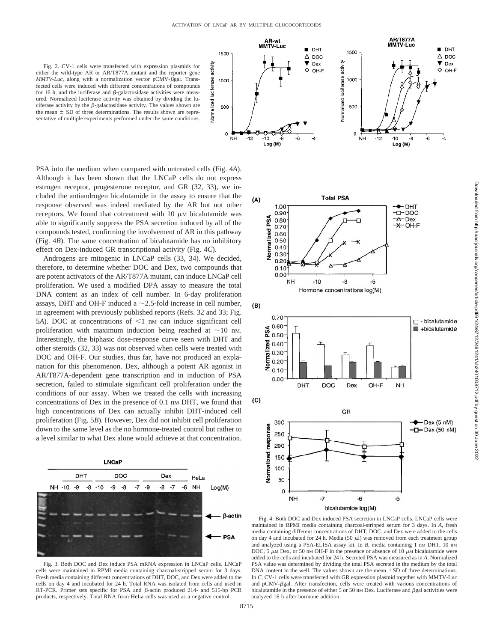

PSA into the medium when compared with untreated cells (Fig. 4*A*). Although it has been shown that the LNCaP cells do not express estrogen receptor, progesterone receptor, and GR (32, 33), we included the antiandrogen bicalutamide in the assay to ensure that the response observed was indeed mediated by the AR but not other receptors. We found that cotreatment with  $10 \mu$ M bicalutamide was able to significantly suppress the PSA secretion induced by all of the compounds tested, confirming the involvement of AR in this pathway (Fig. 4*B*). The same concentration of bicalutamide has no inhibitory effect on Dex-induced GR transcriptional activity (Fig. 4*C*).

Androgens are mitogenic in LNCaP cells (33, 34). We decided, therefore, to determine whether DOC and Dex, two compounds that are potent activators of the AR/T877A mutant, can induce LNCaP cell proliferation. We used a modified DPA assay to measure the total DNA content as an index of cell number. In 6-day proliferation assays, DHT and OH-F induced a  $\sim$  2.5-fold increase in cell number, in agreement with previously published reports (Refs. 32 and 33; Fig. 5*A*). DOC at concentrations of  $\leq 1$  nm can induce significant cell proliferation with maximum induction being reached at  $\sim$ 10 nM. Interestingly, the biphasic dose-response curve seen with DHT and other steroids (32, 33) was not observed when cells were treated with DOC and OH-F. Our studies, thus far, have not produced an explanation for this phenomenon. Dex, although a potent AR agonist in AR/T877A-dependent gene transcription and in induction of PSA secretion, failed to stimulate significant cell proliferation under the conditions of our assay. When we treated the cells with increasing concentrations of Dex in the presence of 0.1 nm DHT, we found that high concentrations of Dex can actually inhibit DHT-induced cell proliferation (Fig. 5*B*). However, Dex did not inhibit cell proliferation down to the same level as the no hormone-treated control but rather to a level similar to what Dex alone would achieve at that concentration.



Fig. 3. Both DOC and Dex induce PSA mRNA expression in LNCaP cells. LNCaP cells were maintained in RPMI media containing charcoal-stripped serum for 3 days. Fresh media containing different concentrations of DHT, DOC, and Dex were added to the cells on day 4 and incubated for 24 h. Total RNA was isolated from cells and used in RT-PCR. Primer sets specific for PSA and  $\beta$ -actin produced 214- and 515-bp PCR products, respectively. Total RNA from HeLa cells was used as a negative control.





Fig. 4. Both DOC and Dex induced PSA secretion in LNCaP cells. LNCaP cells were maintained in RPMI media containing charcoal-stripped serum for 3 days. In *A,* fresh media containing different concentrations of DHT, DOC, and Dex were added to the cells on day 4 and incubated for 24 h. Media (50  $\mu$ l) was removed from each treatment group and analyzed using a PSA-ELISA assay kit. In *B*, media containing 1 nm DHT, 10 nm DOC, 5  $\mu$ M Dex, or 50 nm OH-F in the presence or absence of 10  $\mu$ M bicalutamide were added to the cells and incubated for 24 h. Secreted PSA was measured as in *A*. Normalized PSA value was determined by dividing the total PSA secreted in the medium by the total DNA content in the well. The values shown are the mean  $\pm$ SD of three determinations. In *C,* CV-1 cells were transfected with GR expression plasmid together with MMTV-Luc and pCMV- $\beta$ gal. After transfection, cells were treated with various concentrations of bicalutamide in the presence of either 5 or 50 nm Dex. Luciferase and  $\beta$ gal activities were analyzed 16 h after hormone addition.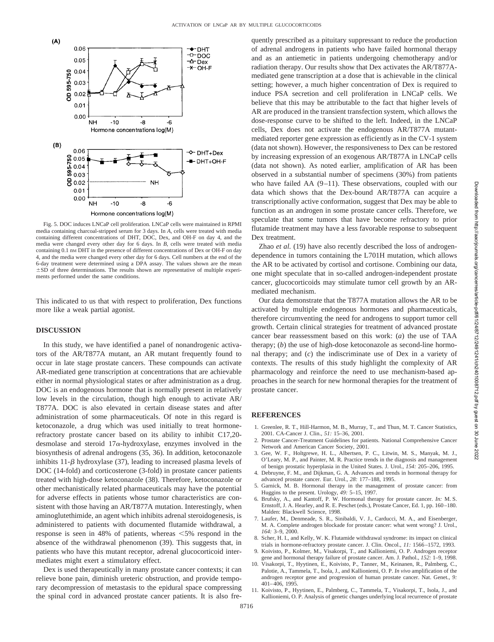

Fig. 5. DOC induces LNCaP cell proliferation. LNCaP cells were maintained in RPMI media containing charcoal-stripped serum for 3 days. In *A,* cells were treated with media containing different concentrations of DHT, DOC, Dex, and OH-F on day 4, and the media were changed every other day for 6 days. In *B,* cells were treated with media containing 0.1 nm DHT in the presence of different concentrations of Dex or OH-F on day 4, and the media were changed every other day for 6 days. Cell numbers at the end of the 6-day treatment were determined using a DPA assay. The values shown are the mean  $\pm$ SD of three determinations. The results shown are representative of multiple experiments performed under the same conditions.

This indicated to us that with respect to proliferation, Dex functions more like a weak partial agonist.

# **DISCUSSION**

In this study, we have identified a panel of nonandrogenic activators of the AR/T877A mutant, an AR mutant frequently found to occur in late stage prostate cancers. These compounds can activate AR-mediated gene transcription at concentrations that are achievable either in normal physiological states or after administration as a drug. DOC is an endogenous hormone that is normally present in relatively low levels in the circulation, though high enough to activate AR/ T877A. DOC is also elevated in certain disease states and after administration of some pharmaceuticals. Of note in this regard is ketoconazole, a drug which was used initially to treat hormonerefractory prostate cancer based on its ability to inhibit C17,20 desmolase and steroid  $17\alpha$ -hydroxylase, enzymes involved in the biosynthesis of adrenal androgens (35, 36). In addition, ketoconazole inhibits  $11-\beta$  hydroxylase (37), leading to increased plasma levels of DOC (14-fold) and corticosterone (3-fold) in prostate cancer patients treated with high-dose ketoconazole (38). Therefore, ketoconazole or other mechanistically related pharmaceuticals may have the potential for adverse effects in patients whose tumor characteristics are consistent with those having an AR/T877A mutation. Interestingly, when aminoglutethimide, an agent which inhibits adrenal steroidogenesis, is administered to patients with documented flutamide withdrawal, a response is seen in 48% of patients, whereas  $\leq$ 5% respond in the absence of the withdrawal phenomenon (39). This suggests that, in patients who have this mutant receptor, adrenal glucocorticoid intermediates might exert a stimulatory effect.

Dex is used therapeutically in many prostate cancer contexts; it can relieve bone pain, diminish ureteric obstruction, and provide temporary decompression of metastasis to the epidural space compressing the spinal cord in advanced prostate cancer patients. It is also frequently prescribed as a pituitary suppressant to reduce the production of adrenal androgens in patients who have failed hormonal therapy and as an antiemetic in patients undergoing chemotherapy and/or radiation therapy. Our results show that Dex activates the AR/T877Amediated gene transcription at a dose that is achievable in the clinical setting; however, a much higher concentration of Dex is required to induce PSA secretion and cell proliferation in LNCaP cells. We believe that this may be attributable to the fact that higher levels of AR are produced in the transient transfection system, which allows the dose-response curve to be shifted to the left. Indeed, in the LNCaP cells, Dex does not activate the endogenous AR/T877A mutantmediated reporter gene expression as efficiently as in the CV-1 system (data not shown). However, the responsiveness to Dex can be restored by increasing expression of an exogenous AR/T877A in LNCaP cells (data not shown). As noted earlier, amplification of AR has been observed in a substantial number of specimens (30%) from patients who have failed AA (9–11). These observations, coupled with our data which shows that the Dex-bound AR/T877A can acquire a transcriptionally active conformation, suggest that Dex may be able to function as an androgen in some prostate cancer cells. Therefore, we speculate that some tumors that have become refractory to prior flutamide treatment may have a less favorable response to subsequent Dex treatment.

Zhao *et al.* (19) have also recently described the loss of androgendependence in tumors containing the L701H mutation, which allows the AR to be activated by cortisol and cortisone. Combining our data, one might speculate that in so-called androgen-independent prostate cancer, glucocorticoids may stimulate tumor cell growth by an ARmediated mechanism.

Our data demonstrate that the T877A mutation allows the AR to be activated by multiple endogenous hormones and pharmaceuticals, therefore circumventing the need for androgens to support tumor cell growth. Certain clinical strategies for treatment of advanced prostate cancer bear reassessment based on this work: (*a*) the use of TAA therapy; (*b*) the use of high-dose ketoconazole as second-line hormonal therapy; and (*c*) the indiscriminate use of Dex in a variety of contexts. The results of this study highlight the complexity of AR pharmacology and reinforce the need to use mechanism-based approaches in the search for new hormonal therapies for the treatment of prostate cancer.

# **REFERENCES**

- 1. Greenlee, R. T., Hill-Harmon, M. B., Murray, T., and Thun, M. T. Cancer Statistics, 2001. CA-Cancer J. Clin., *51:* 15–36, 2001.
- 2. Prostate Cancer-Treatment Guidelines for patients. National Comprehensive Cancer Network and American Cancer Society, 2001.
- 3. Gee, W. F., Holtgrewe, H. L., Albertsen, P. C., Litwin, M. S., Manyak, M. J., O'Leary, M. P., and Painter, M. R. Practice trends in the diagnosis and management of benign prostatic hyperplasia in the United States. J. Urol., *154:* 205–206, 1995.
- 4. Debruyne, F. M., and Dijkman, G. A. Advances and trends in hormonal therapy for advanced prostate cancer. Eur. Urol., *28:* 177–188, 1995.
- 5. Garnick, M. B. Hormonal therapy in the management of prostate cancer: from Huggins to the present. Urology, *49:* 5–15, 1997.
- 6. Brufsky, A., and Kantoff, P. W. Hormonal therapy for prostate cancer. *In:* M. S. Ernstoff, J. A. Hearley, and R. E. Peschet (eds.), Prostate Cancer, Ed. 1, pp. 160–180. Malden: Blackwell Science, 1998.
- 7. Laufer, M., Denmeade, S. R., Sinibaldi, V. J., Carducci, M. A., and Eisenberger, M. A. Complete androgen blockade for prostate cancer: what went wrong? J. Urol., *164:* 3–9, 2000.
- 8. Scher, H. I., and Kelly, W. K. Flutamide withdrawal syndrome: its impact on clinical trials in hormone-refractory prostate cancer. J. Clin. Oncol., *11:* 1566–1572, 1993.
- 9. Koivisto, P., Kolmer, M., Visakorpi, T., and Kallioniemi, O. P. Androgen receptor gene and hormonal therapy failure of prostate cancer. Am. J. Pathol., *152:* 1–9, 1998.
- 10. Visakorpi, T., Hyytinen, E., Koivisto, P., Tanner, M., Keinanen, R., Palmberg, C., Palotie, A., Tammela, T., Isola, J., and Kallioniemi, O. P. *In vivo* amplification of the androgen receptor gene and progression of human prostate cancer. Nat. Genet., *9:* 401–406, 1995.
- 11. Koivisto, P., Hyytinen, E., Palmberg, C., Tammela, T., Visakorpi, T., Isola, J., and Kallioniemi, O. P. Analysis of genetic changes underlying local recurrence of prostate